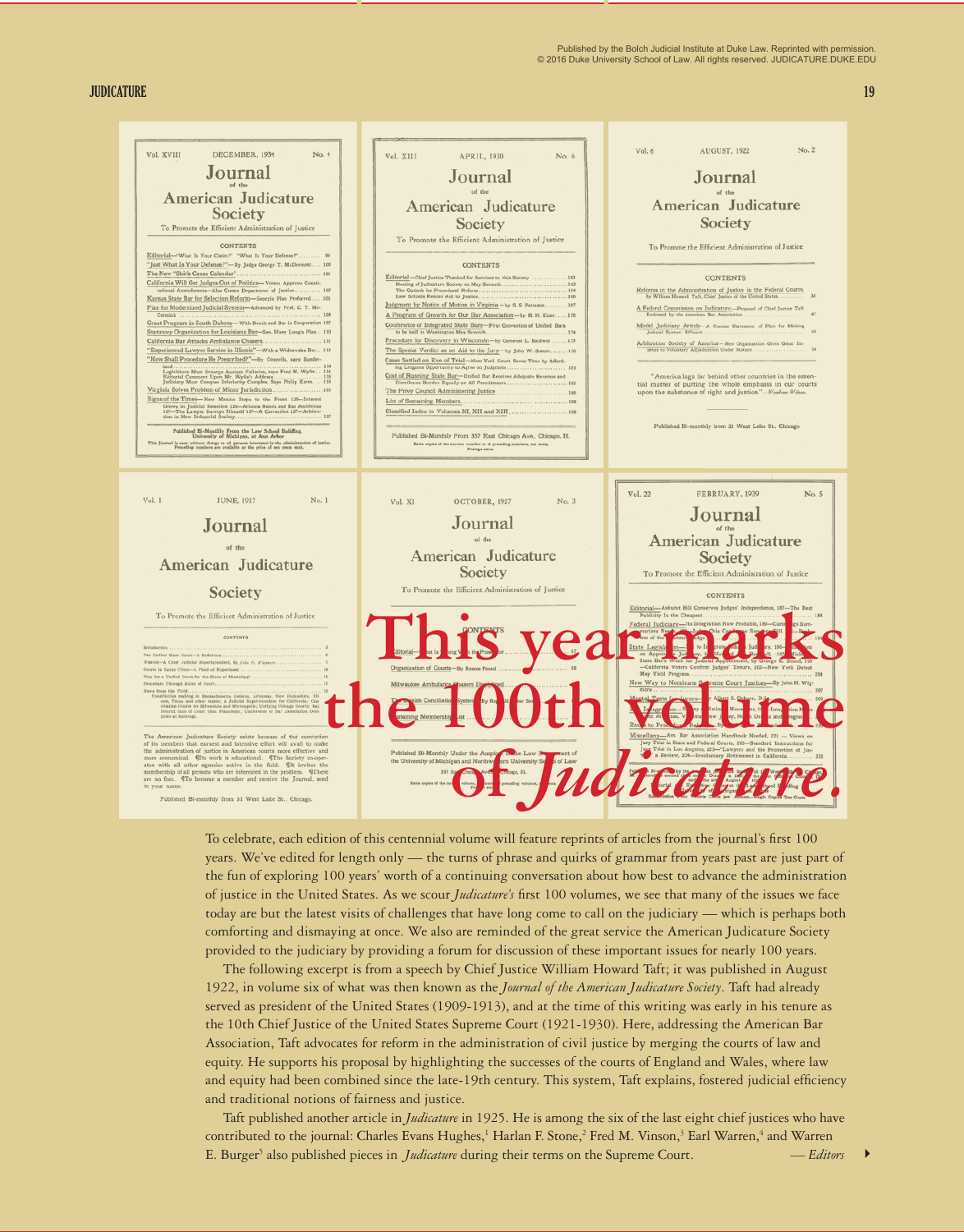Published by the Bolch Judicial Institute at Duke Law. Reprinted with permission. © 2016 Duke University School of Law. All rights reserved. JUDICATURE.DUKE.EDU

**JUDICATURE 19**

| Vol. XIII<br>APRIL, 1930<br>No. 6                                                                                                                                                                                                                                                                                                                               | Vol. 6<br>AUGUST, 1922<br>No. 2                                                                                                                                                                                                                                                                                                                                                                                                                                                                                                                                                                                                                                                                                                                                                                                             |
|-----------------------------------------------------------------------------------------------------------------------------------------------------------------------------------------------------------------------------------------------------------------------------------------------------------------------------------------------------------------|-----------------------------------------------------------------------------------------------------------------------------------------------------------------------------------------------------------------------------------------------------------------------------------------------------------------------------------------------------------------------------------------------------------------------------------------------------------------------------------------------------------------------------------------------------------------------------------------------------------------------------------------------------------------------------------------------------------------------------------------------------------------------------------------------------------------------------|
| Journal                                                                                                                                                                                                                                                                                                                                                         | Journal                                                                                                                                                                                                                                                                                                                                                                                                                                                                                                                                                                                                                                                                                                                                                                                                                     |
|                                                                                                                                                                                                                                                                                                                                                                 |                                                                                                                                                                                                                                                                                                                                                                                                                                                                                                                                                                                                                                                                                                                                                                                                                             |
|                                                                                                                                                                                                                                                                                                                                                                 | American Judicature                                                                                                                                                                                                                                                                                                                                                                                                                                                                                                                                                                                                                                                                                                                                                                                                         |
|                                                                                                                                                                                                                                                                                                                                                                 | Society                                                                                                                                                                                                                                                                                                                                                                                                                                                                                                                                                                                                                                                                                                                                                                                                                     |
|                                                                                                                                                                                                                                                                                                                                                                 | To Promote the Efficient Administration of Justice                                                                                                                                                                                                                                                                                                                                                                                                                                                                                                                                                                                                                                                                                                                                                                          |
| <b>CONTENTS</b>                                                                                                                                                                                                                                                                                                                                                 |                                                                                                                                                                                                                                                                                                                                                                                                                                                                                                                                                                                                                                                                                                                                                                                                                             |
| Editorial-Chief Justice Thanked for Services to this Society 163                                                                                                                                                                                                                                                                                                | <b>CONTENTS</b>                                                                                                                                                                                                                                                                                                                                                                                                                                                                                                                                                                                                                                                                                                                                                                                                             |
|                                                                                                                                                                                                                                                                                                                                                                 | Reforms in the Administration of Justice in the Federal Courts,<br>by William Howard Taft, Chief Justice of the United States                                                                                                                                                                                                                                                                                                                                                                                                                                                                                                                                                                                                                                                                                               |
| A Program of Growth for Our Bar Association-by B. H. Kizer170                                                                                                                                                                                                                                                                                                   | A Federal Commission on Judicature,-Proposal of Chief Justice Taft<br>Endorsed by the American Bar Association                                                                                                                                                                                                                                                                                                                                                                                                                                                                                                                                                                                                                                                                                                              |
|                                                                                                                                                                                                                                                                                                                                                                 | Model Judiciary Article-A Concise Statement of Plan for Making<br>Judicial System Efficent                                                                                                                                                                                                                                                                                                                                                                                                                                                                                                                                                                                                                                                                                                                                  |
| The Special Verdict as an Aid to the Jury-by John W. Staton176                                                                                                                                                                                                                                                                                                  | Arbitration Society of America-New Organization Gives Great Im-<br>petus to Voluntary Adjudication Under Statute                                                                                                                                                                                                                                                                                                                                                                                                                                                                                                                                                                                                                                                                                                            |
| Cases Settled on Eve of Trial-New York Court Saves Time by Afford-<br>ing Litigants Opportunity to Agree on Judgment 183                                                                                                                                                                                                                                        |                                                                                                                                                                                                                                                                                                                                                                                                                                                                                                                                                                                                                                                                                                                                                                                                                             |
| Distributes Burden Equally on All Practitioners185                                                                                                                                                                                                                                                                                                              | "America lags far behind other countries in the essen-<br>tial matter of putting the whole emphasis in our courts                                                                                                                                                                                                                                                                                                                                                                                                                                                                                                                                                                                                                                                                                                           |
|                                                                                                                                                                                                                                                                                                                                                                 | upon the substance of right and justice."-Woodrow Wilson.                                                                                                                                                                                                                                                                                                                                                                                                                                                                                                                                                                                                                                                                                                                                                                   |
|                                                                                                                                                                                                                                                                                                                                                                 |                                                                                                                                                                                                                                                                                                                                                                                                                                                                                                                                                                                                                                                                                                                                                                                                                             |
| Published Bi-Monthly From 357 East Chicago Ave., Chicago, Ill.                                                                                                                                                                                                                                                                                                  | Published Bi-monthly from 31 West Lake St., Chicago                                                                                                                                                                                                                                                                                                                                                                                                                                                                                                                                                                                                                                                                                                                                                                         |
| Postage extra                                                                                                                                                                                                                                                                                                                                                   |                                                                                                                                                                                                                                                                                                                                                                                                                                                                                                                                                                                                                                                                                                                                                                                                                             |
| Vol. XI<br>OCTOBER, 1927<br>No. 3<br>Journal<br>of the<br>American Judicature<br>Society<br>To Promote the Efficient Administration of Justice<br>Organization of Courts-By Ros<br>Milwaukee Ambulance C<br>Published Bi-Monthly Under the Auspic<br>or he Law Is<br>ent of<br>the University of Michigan and Northwe<br>ern University Sc<br>d of Law<br>357 R | Vol. 22<br>FEBRUARY, 1939<br>No. 5<br>Journa<br>American Judicature<br>Society<br>To Promote the Efficient Administration of Justice<br><b>CONTENTS</b><br>Editorial-Ashurst Bill Conserves Judges' Independence, 187-The Best<br>Publicity Is the Cheapest<br>188<br>Federal Judiciary-Its Integration Now Probable, 189-Cur<br>Otls Cond<br>State Legisla<br>on Appoin<br>State Bar<br>-California Voters Confirm Judges' Tenure, 202-New York Defeat<br>May Yield Progress.<br>New Way to Nominate Surreme Court Justices-By John H. Wig-<br>Miscellany-Am. Bar Association Handbook Needed, 221 -- Views on<br>Jury Trial in State and Federal Courts, 222-Standard Instructions for<br>Jury Trial in Los Angeles, 223-"Lawyers and the Promotion of Jus-tice a Review, 224-Involuntary Retirement in California<br>225 |
|                                                                                                                                                                                                                                                                                                                                                                 | American Judicature<br>Society<br>To Promote the Efficient Administration of Justice<br>Judgment by Notice of Motion in Virginia -by S. S. Patteson 167<br>Conference of Integrated State Bars-First Convention of Unified Bars<br>Procedure for Discovery in Wisconsin-by Cameron L. Baldwin 175<br>Cost of Running State Bar-Unified Bar Receives Adequate Revenue and<br>Classified Index to Volumes XI, XII and XIII.  188<br>Extra copies of the current number or of preceding numbers, ten cents.                                                                                                                                                                                                                                                                                                                    |

To celebrate, each edition of this centennial volume will feature reprints of articles from the journal's first 100 years. We've edited for length only — the turns of phrase and quirks of grammar from years past are just part of the fun of exploring 100 years' worth of a continuing conversation about how best to advance the administration of justice in the United States. As we scour *Judicature's* first 100 volumes, we see that many of the issues we face today are but the latest visits of challenges that have long come to call on the judiciary — which is perhaps both comforting and dismaying at once. We also are reminded of the great service the American Judicature Society provided to the judiciary by providing a forum for discussion of these important issues for nearly 100 years.

The following excerpt is from a speech by Chief Justice William Howard Taft; it was published in August 1922, in volume six of what was then known as the *Journal of the American Judicature Society*. Taft had already served as president of the United States (1909-1913), and at the time of this writing was early in his tenure as the 10th Chief Justice of the United States Supreme Court (1921-1930). Here, addressing the American Bar Association, Taft advocates for reform in the administration of civil justice by merging the courts of law and equity. He supports his proposal by highlighting the successes of the courts of England and Wales, where law and equity had been combined since the late-19th century. This system, Taft explains, fostered judicial efficiency and traditional notions of fairness and justice.

Taft published another article in *Judicature* in 1925. He is among the six of the last eight chief justices who have contributed to the journal: Charles Evans Hughes,<sup>1</sup> Harlan F. Stone,<sup>2</sup> Fred M. Vinson,<sup>3</sup> Earl Warren,<sup>4</sup> and Warren E. Burger5 also published pieces in *Judicature* during their terms on the Supreme Court. *— Editors*

4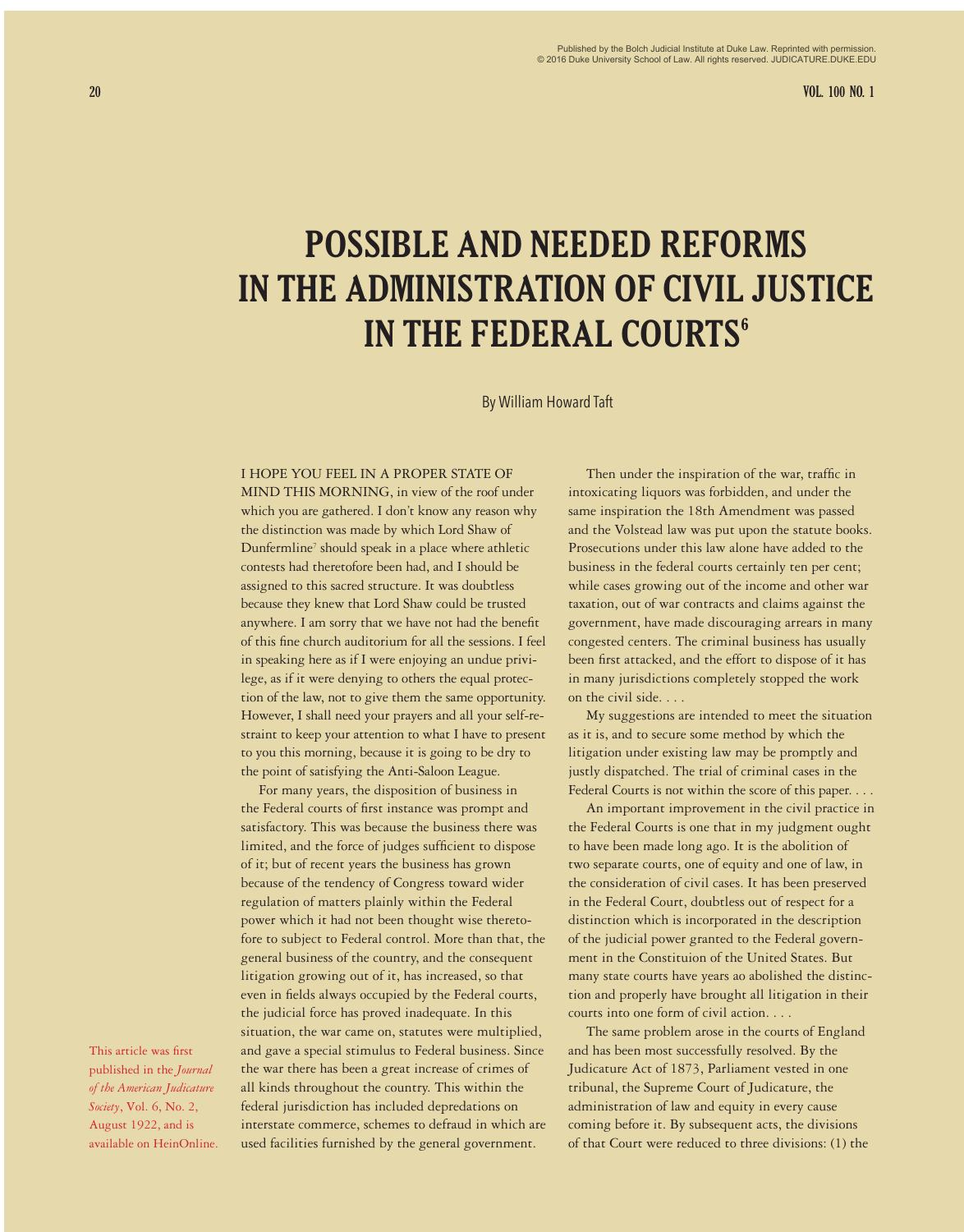**20 VOL. 100 NO. 1**

# **POSSIBLE AND NEEDED REFORMS IN THE ADMINISTRATION OF CIVIL JUSTICE IN THE FEDERAL COURTS<sup>6</sup>**

By William Howard Taft

#### I HOPE YOU FEEL IN A PROPER STATE OF

MIND THIS MORNING, in view of the roof under which you are gathered. I don't know any reason why the distinction was made by which Lord Shaw of Dunfermline<sup>7</sup> should speak in a place where athletic contests had theretofore been had, and I should be assigned to this sacred structure. It was doubtless because they knew that Lord Shaw could be trusted anywhere. I am sorry that we have not had the benefit of this fine church auditorium for all the sessions. I feel in speaking here as if I were enjoying an undue privilege, as if it were denying to others the equal protection of the law, not to give them the same opportunity. However, I shall need your prayers and all your self-restraint to keep your attention to what I have to present to you this morning, because it is going to be dry to the point of satisfying the Anti-Saloon League.

For many years, the disposition of business in the Federal courts of first instance was prompt and satisfactory. This was because the business there was limited, and the force of judges sufficient to dispose of it; but of recent years the business has grown because of the tendency of Congress toward wider regulation of matters plainly within the Federal power which it had not been thought wise theretofore to subject to Federal control. More than that, the general business of the country, and the consequent litigation growing out of it, has increased, so that even in fields always occupied by the Federal courts, the judicial force has proved inadequate. In this situation, the war came on, statutes were multiplied, and gave a special stimulus to Federal business. Since the war there has been a great increase of crimes of all kinds throughout the country. This within the federal jurisdiction has included depredations on interstate commerce, schemes to defraud in which are used facilities furnished by the general government.

Then under the inspiration of the war, traffic in intoxicating liquors was forbidden, and under the same inspiration the 18th Amendment was passed and the Volstead law was put upon the statute books. Prosecutions under this law alone have added to the business in the federal courts certainly ten per cent; while cases growing out of the income and other war taxation, out of war contracts and claims against the government, have made discouraging arrears in many congested centers. The criminal business has usually been first attacked, and the effort to dispose of it has in many jurisdictions completely stopped the work on the civil side. . . .

My suggestions are intended to meet the situation as it is, and to secure some method by which the litigation under existing law may be promptly and justly dispatched. The trial of criminal cases in the Federal Courts is not within the score of this paper. . . .

An important improvement in the civil practice in the Federal Courts is one that in my judgment ought to have been made long ago. It is the abolition of two separate courts, one of equity and one of law, in the consideration of civil cases. It has been preserved in the Federal Court, doubtless out of respect for a distinction which is incorporated in the description of the judicial power granted to the Federal government in the Constituion of the United States. But many state courts have years ao abolished the distinction and properly have brought all litigation in their courts into one form of civil action. . . .

The same problem arose in the courts of England and has been most successfully resolved. By the Judicature Act of 1873, Parliament vested in one tribunal, the Supreme Court of Judicature, the administration of law and equity in every cause coming before it. By subsequent acts, the divisions of that Court were reduced to three divisions: (1) the

This article was first published in the *Journal of the American Judicature Society*, Vol. 6, No. 2, August 1922, and is available on HeinOnline.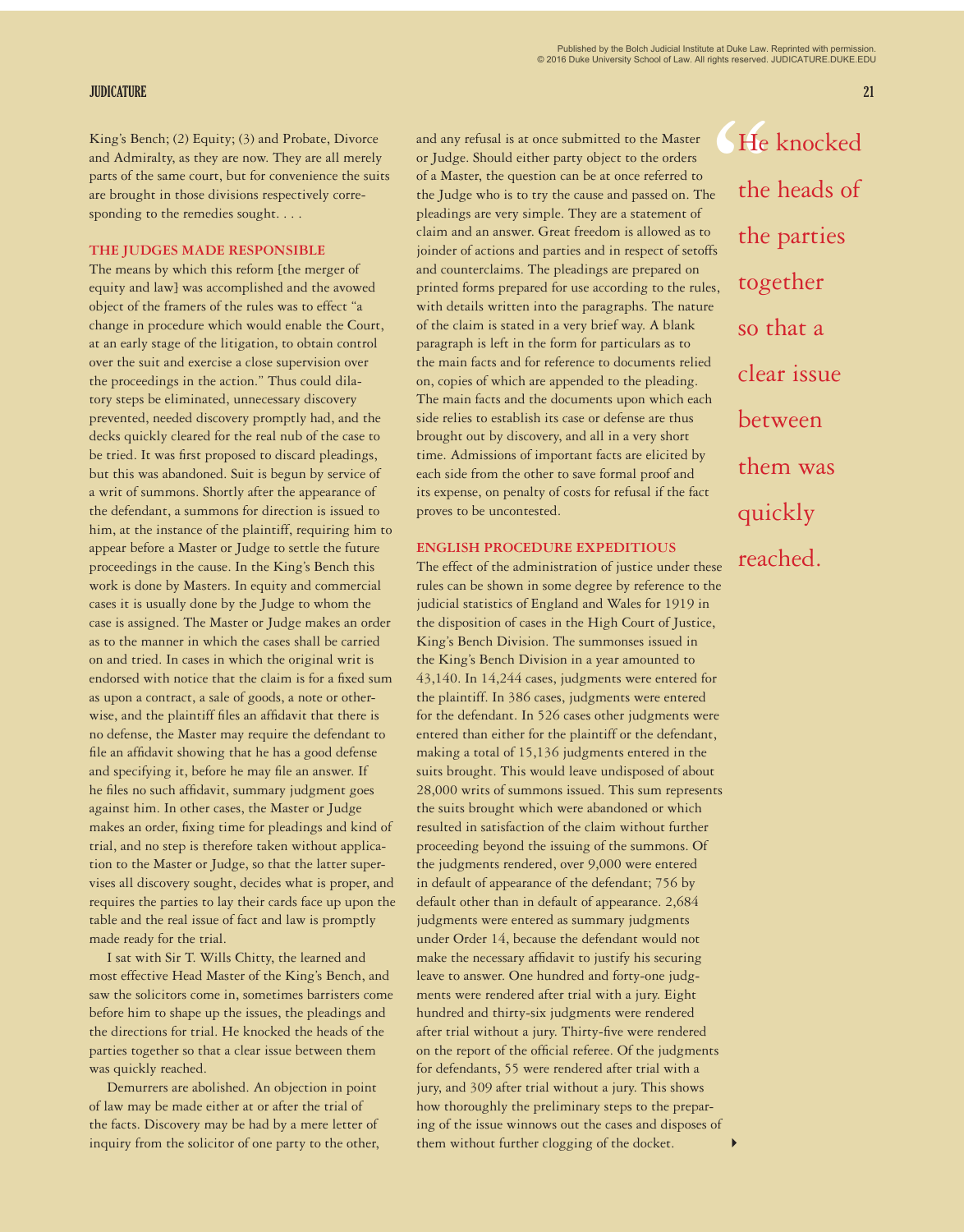### **JUDICATURE 21**

and Admiralty, as they are now. They are all merely parts of the same court, but for convenience the suits are brought in those divisions respectively corresponding to the remedies sought. . . .

## **THE JUDGES MADE RESPONSIBLE**

The means by which this reform [the merger of equity and law] was accomplished and the avowed object of the framers of the rules was to effect "a change in procedure which would enable the Court, at an early stage of the litigation, to obtain control over the suit and exercise a close supervision over the proceedings in the action." Thus could dilatory steps be eliminated, unnecessary discovery prevented, needed discovery promptly had, and the decks quickly cleared for the real nub of the case to be tried. It was first proposed to discard pleadings, but this was abandoned. Suit is begun by service of a writ of summons. Shortly after the appearance of the defendant, a summons for direction is issued to him, at the instance of the plaintiff, requiring him to appear before a Master or Judge to settle the future proceedings in the cause. In the King's Bench this work is done by Masters. In equity and commercial cases it is usually done by the Judge to whom the case is assigned. The Master or Judge makes an order as to the manner in which the cases shall be carried on and tried. In cases in which the original writ is endorsed with notice that the claim is for a fixed sum as upon a contract, a sale of goods, a note or otherwise, and the plaintiff files an affidavit that there is no defense, the Master may require the defendant to file an affidavit showing that he has a good defense and specifying it, before he may file an answer. If he files no such affidavit, summary judgment goes against him. In other cases, the Master or Judge makes an order, fixing time for pleadings and kind of trial, and no step is therefore taken without application to the Master or Judge, so that the latter supervises all discovery sought, decides what is proper, and requires the parties to lay their cards face up upon the table and the real issue of fact and law is promptly made ready for the trial.

I sat with Sir T. Wills Chitty, the learned and most effective Head Master of the King's Bench, and saw the solicitors come in, sometimes barristers come before him to shape up the issues, the pleadings and the directions for trial. He knocked the heads of the parties together so that a clear issue between them was quickly reached.

Demurrers are abolished. An objection in point of law may be made either at or after the trial of the facts. Discovery may be had by a mere letter of inquiry from the solicitor of one party to the other,

Example and any refusal is at once submitted to the Master (Example 20) Alting's Bench; (2) Equity; (3) and Probate, Divorce and any refusal is at once submitted to the Master (Example and Admiralty, as they are now. They and any refusal is at once submitted to the Master or Judge. Should either party object to the orders of a Master, the question can be at once referred to the Judge who is to try the cause and passed on. The pleadings are very simple. They are a statement of claim and an answer. Great freedom is allowed as to joinder of actions and parties and in respect of setoffs and counterclaims. The pleadings are prepared on printed forms prepared for use according to the rules, with details written into the paragraphs. The nature of the claim is stated in a very brief way. A blank paragraph is left in the form for particulars as to the main facts and for reference to documents relied on, copies of which are appended to the pleading. The main facts and the documents upon which each side relies to establish its case or defense are thus brought out by discovery, and all in a very short time. Admissions of important facts are elicited by each side from the other to save formal proof and its expense, on penalty of costs for refusal if the fact proves to be uncontested.

## **ENGLISH PROCEDURE EXPEDITIOUS**

The effect of the administration of justice under these rules can be shown in some degree by reference to the judicial statistics of England and Wales for 1919 in the disposition of cases in the High Court of Justice, King's Bench Division. The summonses issued in the King's Bench Division in a year amounted to 43,140. In 14,244 cases, judgments were entered for the plaintiff. In 386 cases, judgments were entered for the defendant. In 526 cases other judgments were entered than either for the plaintiff or the defendant, making a total of 15,136 judgments entered in the suits brought. This would leave undisposed of about 28,000 writs of summons issued. This sum represents the suits brought which were abandoned or which resulted in satisfaction of the claim without further proceeding beyond the issuing of the summons. Of the judgments rendered, over 9,000 were entered in default of appearance of the defendant; 756 by default other than in default of appearance. 2,684 judgments were entered as summary judgments under Order 14, because the defendant would not make the necessary affidavit to justify his securing leave to answer. One hundred and forty-one judgments were rendered after trial with a jury. Eight hundred and thirty-six judgments were rendered after trial without a jury. Thirty-five were rendered on the report of the official referee. Of the judgments for defendants, 55 were rendered after trial with a jury, and 309 after trial without a jury. This shows how thoroughly the preliminary steps to the preparing of the issue winnows out the cases and disposes of them without further clogging of the docket. 4

He knocked the heads of the parties together so that a clear issue between them was quickly reached.